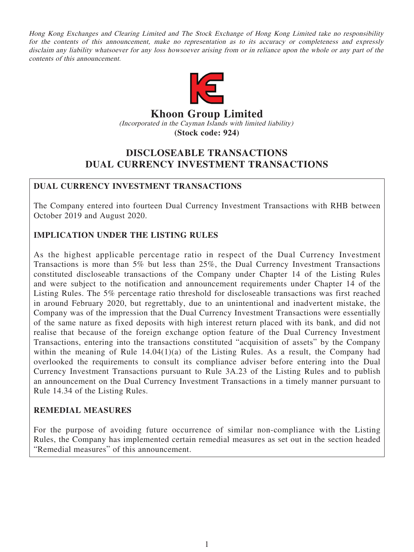Hong Kong Exchanges and Clearing Limited and The Stock Exchange of Hong Kong Limited take no responsibility for the contents of this announcement, make no representation as to its accuracy or completeness and expressly disclaim any liability whatsoever for any loss howsoever arising from or in reliance upon the whole or any part of the contents of this announcement.



# **Khoon Group Limited** (Incorporated in the Cayman Islands with limited liability) **(Stock code: 924)**

# **DISCLOSEABLE TRANSACTIONS DUAL CURRENCY INVESTMENT TRANSACTIONS**

# **DUAL CURRENCY INVESTMENT TRANSACTIONS**

The Company entered into fourteen Dual Currency Investment Transactions with RHB between October 2019 and August 2020.

# **IMPLICATION UNDER THE LISTING RULES**

As the highest applicable percentage ratio in respect of the Dual Currency Investment Transactions is more than 5% but less than 25%, the Dual Currency Investment Transactions constituted discloseable transactions of the Company under Chapter 14 of the Listing Rules and were subject to the notification and announcement requirements under Chapter 14 of the Listing Rules. The 5% percentage ratio threshold for discloseable transactions was first reached in around February 2020, but regrettably, due to an unintentional and inadvertent mistake, the Company was of the impression that the Dual Currency Investment Transactions were essentially of the same nature as fixed deposits with high interest return placed with its bank, and did not realise that because of the foreign exchange option feature of the Dual Currency Investment Transactions, entering into the transactions constituted "acquisition of assets" by the Company within the meaning of Rule 14.04(1)(a) of the Listing Rules. As a result, the Company had overlooked the requirements to consult its compliance adviser before entering into the Dual Currency Investment Transactions pursuant to Rule 3A.23 of the Listing Rules and to publish an announcement on the Dual Currency Investment Transactions in a timely manner pursuant to Rule 14.34 of the Listing Rules.

## **REMEDIAL MEASURES**

For the purpose of avoiding future occurrence of similar non-compliance with the Listing Rules, the Company has implemented certain remedial measures as set out in the section headed "Remedial measures" of this announcement.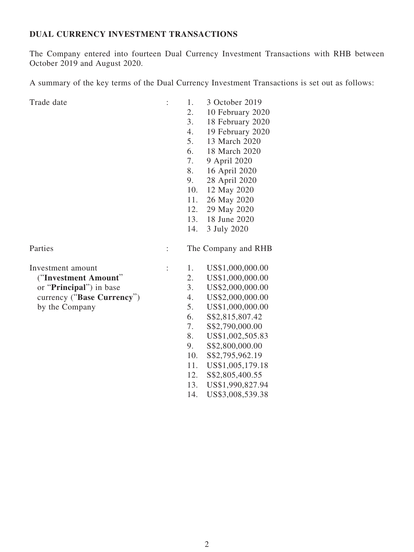### **DUAL CURRENCY INVESTMENT TRANSACTIONS**

The Company entered into fourteen Dual Currency Investment Transactions with RHB between October 2019 and August 2020.

A summary of the key terms of the Dual Currency Investment Transactions is set out as follows:

| Trade date                       | $\ddot{\cdot}$ | 1.           | 3 October 2019      |
|----------------------------------|----------------|--------------|---------------------|
|                                  |                | 2.           | 10 February 2020    |
|                                  |                | 3.           | 18 February 2020    |
|                                  |                | 4.           | 19 February 2020    |
|                                  |                | 5.           | 13 March 2020       |
|                                  |                | 6.           | 18 March 2020       |
|                                  |                | 7.           | 9 April 2020        |
|                                  |                | 8.           | 16 April 2020       |
|                                  |                | 9.           | 28 April 2020       |
|                                  |                | 10.          | 12 May 2020         |
|                                  |                | 11.          | 26 May 2020         |
|                                  |                | 12.          | 29 May 2020         |
|                                  |                | 13.          | 18 June 2020        |
|                                  |                | 14.          | 3 July 2020         |
| Parties                          | $\ddot{\cdot}$ |              | The Company and RHB |
| Investment amount                | $\ddot{\cdot}$ | 1.           | US\$1,000,000.00    |
| ("Investment Amount"             |                | 2.           | US\$1,000,000.00    |
| or " <b>Principal</b> ") in base |                | 3.           | US\$2,000,000.00    |
| currency ("Base Currency")       |                | 4.           | US\$2,000,000.00    |
| by the Company                   |                | 5.           | US\$1,000,000.00    |
|                                  |                | 6.           | \$\$2,815,807.42    |
|                                  |                | 7.           | S\$2,790,000.00     |
|                                  |                | 8.           | US\$1,002,505.83    |
|                                  |                | 9.           | \$\$2,800,000.00    |
|                                  |                | 10.          | \$\$2,795,962.19    |
|                                  |                | 11.          | US\$1,005,179.18    |
|                                  |                | $12^{\circ}$ | 882.805 400.55      |

- 12. S\$2,805,400.55
- 13. US\$1,990,827.94
- 14. US\$3,008,539.38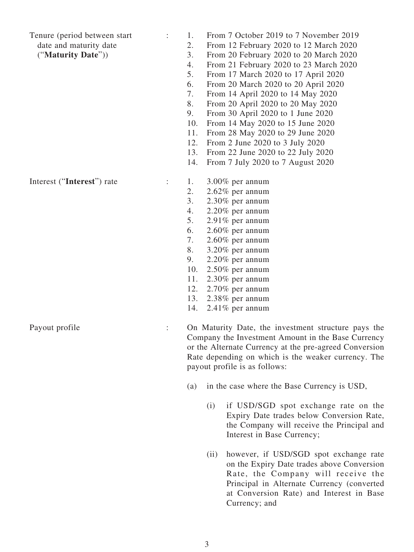Tenure (period between start

date and maturity date

("**Maturity Date**"))

- : 1. From 7 October 2019 to 7 November 2019
	- 2. From 12 February 2020 to 12 March 2020
	- 3. From 20 February 2020 to 20 March 2020
	- 4. From 21 February 2020 to 23 March 2020
	- 5. From 17 March 2020 to 17 April 2020
	- 6. From 20 March 2020 to 20 April 2020
	- 7. From 14 April 2020 to 14 May 2020
	- 8. From 20 April 2020 to 20 May 2020
	- 9. From 30 April 2020 to 1 June 2020
	- 10. From 14 May 2020 to 15 June 2020
	- 11. From 28 May 2020 to 29 June 2020
	- 12. From 2 June 2020 to 3 July 2020
	- 13. From 22 June 2020 to 22 July 2020
	- 14. From 7 July 2020 to 7 August 2020

- $\therefore$  1. 3.00% per annum 2. 2.62% per annum
	- 3. 2.30% per annum
	- 4. 2.20% per annum
	- 5. 2.91% per annum
	- 6. 2.60% per annum
	- 7. 2.60% per annum
	- 8. 3.20% per annum
	- 9. 2.20% per annum
	- 10. 2.50% per annum
	- 11. 2.30% per annum
	- 12. 2.70% per annum
	- 13. 2.38% per annum
	- 14. 2.41% per annum

Payout profile : On Maturity Date, the investment structure pays the Company the Investment Amount in the Base Currency or the Alternate Currency at the pre-agreed Conversion Rate depending on which is the weaker currency. The payout profile is as follows:

- (a) in the case where the Base Currency is USD,
	- (i) if USD/SGD spot exchange rate on the Expiry Date trades below Conversion Rate, the Company will receive the Principal and Interest in Base Currency;
	- (ii) however, if USD/SGD spot exchange rate on the Expiry Date trades above Conversion Rate, the Company will receive the Principal in Alternate Currency (converted at Conversion Rate) and Interest in Base Currency; and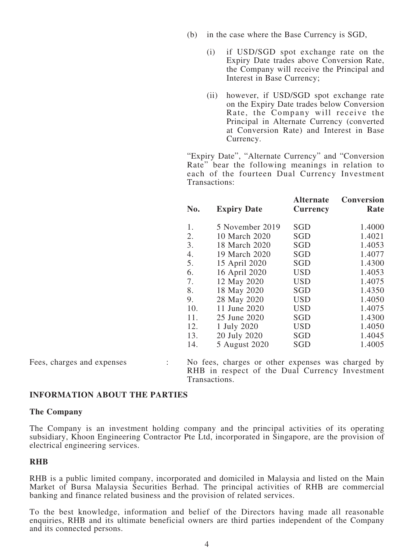- (b) in the case where the Base Currency is SGD,
	- (i) if USD/SGD spot exchange rate on the Expiry Date trades above Conversion Rate, the Company will receive the Principal and Interest in Base Currency;
	- (ii) however, if USD/SGD spot exchange rate on the Expiry Date trades below Conversion Rate, the Company will receive the Principal in Alternate Currency (converted at Conversion Rate) and Interest in Base Currency.

"Expiry Date", "Alternate Currency" and "Conversion Rate" bear the following meanings in relation to each of the fourteen Dual Currency Investment Transactions:

| No. | <b>Expiry Date</b> | <b>Alternate</b><br><b>Currency</b> | <b>Conversion</b><br>Rate |
|-----|--------------------|-------------------------------------|---------------------------|
| 1.  | 5 November 2019    | SGD                                 | 1.4000                    |
| 2.  | 10 March 2020      | <b>SGD</b>                          | 1.4021                    |
| 3.  | 18 March 2020      | <b>SGD</b>                          | 1.4053                    |
| 4.  | 19 March 2020      | <b>SGD</b>                          | 1.4077                    |
| 5.  | 15 April 2020      | <b>SGD</b>                          | 1.4300                    |
| 6.  | 16 April 2020      | <b>USD</b>                          | 1.4053                    |
| 7.  | 12 May 2020        | <b>USD</b>                          | 1.4075                    |
| 8.  | 18 May 2020        | <b>SGD</b>                          | 1.4350                    |
| 9.  | 28 May 2020        | <b>USD</b>                          | 1.4050                    |
| 10. | 11 June 2020       | <b>USD</b>                          | 1.4075                    |
| 11. | 25 June 2020       | <b>SGD</b>                          | 1.4300                    |
| 12. | 1 July 2020        | <b>USD</b>                          | 1.4050                    |
| 13. | 20 July 2020       | <b>SGD</b>                          | 1.4045                    |
| 14. | 5 August 2020      | <b>SGD</b>                          | 1.4005                    |

Fees, charges and expenses : No fees, charges or other expenses was charged by RHB in respect of the Dual Currency Investment Transactions.

### **INFORMATION ABOUT THE PARTIES**

#### **The Company**

The Company is an investment holding company and the principal activities of its operating subsidiary, Khoon Engineering Contractor Pte Ltd, incorporated in Singapore, are the provision of electrical engineering services.

#### **RHB**

RHB is a public limited company, incorporated and domiciled in Malaysia and listed on the Main Market of Bursa Malaysia Securities Berhad. The principal activities of RHB are commercial banking and finance related business and the provision of related services.

To the best knowledge, information and belief of the Directors having made all reasonable enquiries, RHB and its ultimate beneficial owners are third parties independent of the Company and its connected persons.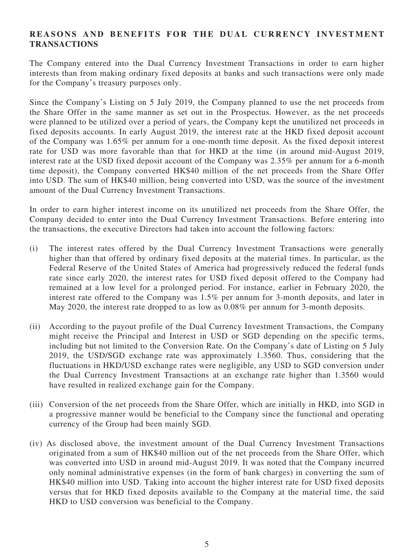## **REASONS AND BENEFITS FOR THE DUAL CURRENCY INVESTMENT TRANSACTIONS**

The Company entered into the Dual Currency Investment Transactions in order to earn higher interests than from making ordinary fixed deposits at banks and such transactions were only made for the Company's treasury purposes only.

Since the Company's Listing on 5 July 2019, the Company planned to use the net proceeds from the Share Offer in the same manner as set out in the Prospectus. However, as the net proceeds were planned to be utilized over a period of years, the Company kept the unutilized net proceeds in fixed deposits accounts. In early August 2019, the interest rate at the HKD fixed deposit account of the Company was 1.65% per annum for a one-month time deposit. As the fixed deposit interest rate for USD was more favorable than that for HKD at the time (in around mid-August 2019, interest rate at the USD fixed deposit account of the Company was 2.35% per annum for a 6-month time deposit), the Company converted HK\$40 million of the net proceeds from the Share Offer into USD. The sum of HK\$40 million, being converted into USD, was the source of the investment amount of the Dual Currency Investment Transactions.

In order to earn higher interest income on its unutilized net proceeds from the Share Offer, the Company decided to enter into the Dual Currency Investment Transactions. Before entering into the transactions, the executive Directors had taken into account the following factors:

- (i) The interest rates offered by the Dual Currency Investment Transactions were generally higher than that offered by ordinary fixed deposits at the material times. In particular, as the Federal Reserve of the United States of America had progressively reduced the federal funds rate since early 2020, the interest rates for USD fixed deposit offered to the Company had remained at a low level for a prolonged period. For instance, earlier in February 2020, the interest rate offered to the Company was 1.5% per annum for 3-month deposits, and later in May 2020, the interest rate dropped to as low as 0.08% per annum for 3-month deposits.
- (ii) According to the payout profile of the Dual Currency Investment Transactions, the Company might receive the Principal and Interest in USD or SGD depending on the specific terms, including but not limited to the Conversion Rate. On the Company's date of Listing on 5 July 2019, the USD/SGD exchange rate was approximately 1.3560. Thus, considering that the fluctuations in HKD/USD exchange rates were negligible, any USD to SGD conversion under the Dual Currency Investment Transactions at an exchange rate higher than 1.3560 would have resulted in realized exchange gain for the Company.
- (iii) Conversion of the net proceeds from the Share Offer, which are initially in HKD, into SGD in a progressive manner would be beneficial to the Company since the functional and operating currency of the Group had been mainly SGD.
- (iv) As disclosed above, the investment amount of the Dual Currency Investment Transactions originated from a sum of HK\$40 million out of the net proceeds from the Share Offer, which was converted into USD in around mid-August 2019. It was noted that the Company incurred only nominal administrative expenses (in the form of bank charges) in converting the sum of HK\$40 million into USD. Taking into account the higher interest rate for USD fixed deposits versus that for HKD fixed deposits available to the Company at the material time, the said HKD to USD conversion was beneficial to the Company.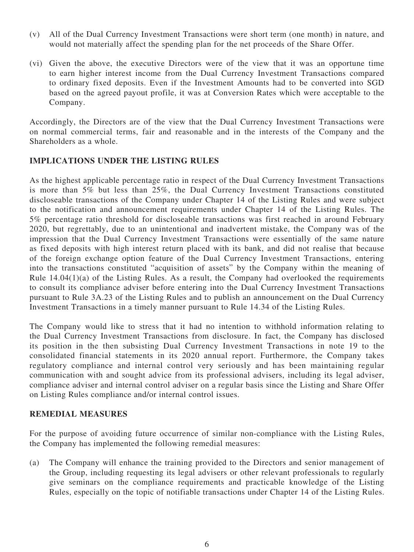- (v) All of the Dual Currency Investment Transactions were short term (one month) in nature, and would not materially affect the spending plan for the net proceeds of the Share Offer.
- (vi) Given the above, the executive Directors were of the view that it was an opportune time to earn higher interest income from the Dual Currency Investment Transactions compared to ordinary fixed deposits. Even if the Investment Amounts had to be converted into SGD based on the agreed payout profile, it was at Conversion Rates which were acceptable to the Company.

Accordingly, the Directors are of the view that the Dual Currency Investment Transactions were on normal commercial terms, fair and reasonable and in the interests of the Company and the Shareholders as a whole.

### **IMPLICATIONS UNDER THE LISTING RULES**

As the highest applicable percentage ratio in respect of the Dual Currency Investment Transactions is more than 5% but less than 25%, the Dual Currency Investment Transactions constituted discloseable transactions of the Company under Chapter 14 of the Listing Rules and were subject to the notification and announcement requirements under Chapter 14 of the Listing Rules. The 5% percentage ratio threshold for discloseable transactions was first reached in around February 2020, but regrettably, due to an unintentional and inadvertent mistake, the Company was of the impression that the Dual Currency Investment Transactions were essentially of the same nature as fixed deposits with high interest return placed with its bank, and did not realise that because of the foreign exchange option feature of the Dual Currency Investment Transactions, entering into the transactions constituted "acquisition of assets" by the Company within the meaning of Rule 14.04(1)(a) of the Listing Rules. As a result, the Company had overlooked the requirements to consult its compliance adviser before entering into the Dual Currency Investment Transactions pursuant to Rule 3A.23 of the Listing Rules and to publish an announcement on the Dual Currency Investment Transactions in a timely manner pursuant to Rule 14.34 of the Listing Rules.

The Company would like to stress that it had no intention to withhold information relating to the Dual Currency Investment Transactions from disclosure. In fact, the Company has disclosed its position in the then subsisting Dual Currency Investment Transactions in note 19 to the consolidated financial statements in its 2020 annual report. Furthermore, the Company takes regulatory compliance and internal control very seriously and has been maintaining regular communication with and sought advice from its professional advisers, including its legal adviser, compliance adviser and internal control adviser on a regular basis since the Listing and Share Offer on Listing Rules compliance and/or internal control issues.

### **REMEDIAL MEASURES**

For the purpose of avoiding future occurrence of similar non-compliance with the Listing Rules, the Company has implemented the following remedial measures:

(a) The Company will enhance the training provided to the Directors and senior management of the Group, including requesting its legal advisers or other relevant professionals to regularly give seminars on the compliance requirements and practicable knowledge of the Listing Rules, especially on the topic of notifiable transactions under Chapter 14 of the Listing Rules.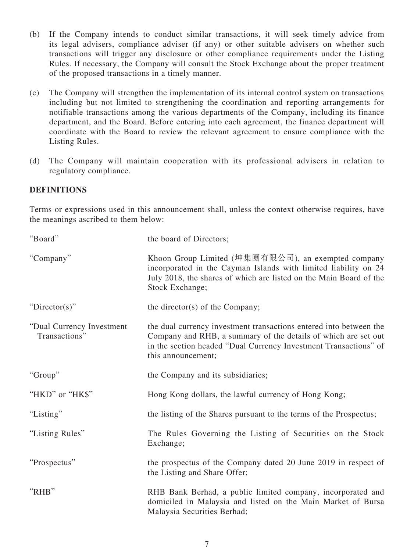- (b) If the Company intends to conduct similar transactions, it will seek timely advice from its legal advisers, compliance adviser (if any) or other suitable advisers on whether such transactions will trigger any disclosure or other compliance requirements under the Listing Rules. If necessary, the Company will consult the Stock Exchange about the proper treatment of the proposed transactions in a timely manner.
- (c) The Company will strengthen the implementation of its internal control system on transactions including but not limited to strengthening the coordination and reporting arrangements for notifiable transactions among the various departments of the Company, including its finance department, and the Board. Before entering into each agreement, the finance department will coordinate with the Board to review the relevant agreement to ensure compliance with the Listing Rules.
- (d) The Company will maintain cooperation with its professional advisers in relation to regulatory compliance.

## **DEFINITIONS**

Terms or expressions used in this announcement shall, unless the context otherwise requires, have the meanings ascribed to them below:

| "Board"                                     | the board of Directors;                                                                                                                                                                                                        |
|---------------------------------------------|--------------------------------------------------------------------------------------------------------------------------------------------------------------------------------------------------------------------------------|
| "Company"                                   | Khoon Group Limited (坤集團有限公司), an exempted company<br>incorporated in the Cayman Islands with limited liability on 24<br>July 2018, the shares of which are listed on the Main Board of the<br>Stock Exchange;                 |
| " $Directory$ "                             | the director(s) of the Company;                                                                                                                                                                                                |
| "Dual Currency Investment"<br>Transactions" | the dual currency investment transactions entered into between the<br>Company and RHB, a summary of the details of which are set out<br>in the section headed "Dual Currency Investment Transactions" of<br>this announcement; |
| "Group"                                     | the Company and its subsidiaries;                                                                                                                                                                                              |
| "HKD" or "HK\$"                             | Hong Kong dollars, the lawful currency of Hong Kong;                                                                                                                                                                           |
| "Listing"                                   | the listing of the Shares pursuant to the terms of the Prospectus;                                                                                                                                                             |
| "Listing Rules"                             | The Rules Governing the Listing of Securities on the Stock<br>Exchange;                                                                                                                                                        |
| "Prospectus"                                | the prospectus of the Company dated 20 June 2019 in respect of<br>the Listing and Share Offer;                                                                                                                                 |
| "RHB"                                       | RHB Bank Berhad, a public limited company, incorporated and<br>domiciled in Malaysia and listed on the Main Market of Bursa<br>Malaysia Securities Berhad;                                                                     |